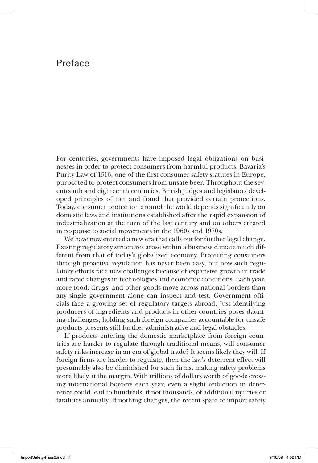## Preface

For centuries, governments have imposed legal obligations on businesses in order to protect consumers from harmful products. Bavaria's Purity Law of 1516, one of the first consumer safety statutes in Europe, purported to protect consumers from unsafe beer. Throughout the seventeenth and eighteenth centuries, British judges and legislators developed principles of tort and fraud that provided certain protections. Today, consumer protection around the world depends significantly on domestic laws and institutions established after the rapid expansion of industrialization at the turn of the last century and on others created in response to social movements in the 1960s and 1970s.

We have now entered a new era that calls out for further legal change. Existing regulatory structures arose within a business climate much different from that of today's globalized economy. Protecting consumers through proactive regulation has never been easy, but now such regulatory efforts face new challenges because of expansive growth in trade and rapid changes in technologies and economic conditions. Each year, more food, drugs, and other goods move across national borders than any single government alone can inspect and test. Government officials face a growing set of regulatory targets abroad. Just identifying producers of ingredients and products in other countries poses daunting challenges; holding such foreign companies accountable for unsafe products presents still further administrative and legal obstacles.

If products entering the domestic marketplace from foreign countries are harder to regulate through traditional means, will consumer safety risks increase in an era of global trade? It seems likely they will. If foreign firms are harder to regulate, then the law's deterrent effect will presumably also be diminished for such firms, making safety problems more likely at the margin. With trillions of dollars worth of goods crossing international borders each year, even a slight reduction in deterrence could lead to hundreds, if not thousands, of additional injuries or fatalities annually. If nothing changes, the recent spate of import safety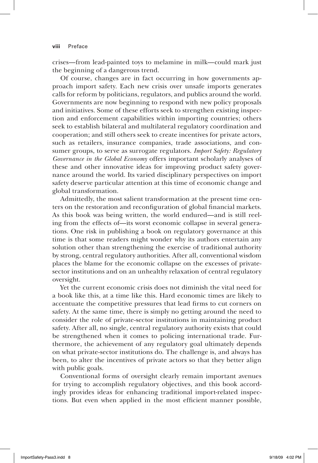crises—from lead-painted toys to melamine in milk—could mark just the beginning of a dangerous trend.

Of course, changes are in fact occurring in how governments approach import safety. Each new crisis over unsafe imports generates calls for reform by politicians, regulators, and publics around the world. Governments are now beginning to respond with new policy proposals and initiatives. Some of these efforts seek to strengthen existing inspection and enforcement capabilities within importing countries; others seek to establish bilateral and multilateral regulatory coordination and cooperation; and still others seek to create incentives for private actors, such as retailers, insurance companies, trade associations, and consumer groups, to serve as surrogate regulators. *Import Safety: Regulatory Governance in the Global Economy* offers important scholarly analyses of these and other innovative ideas for improving product safety governance around the world. Its varied disciplinary perspectives on import safety deserve particular attention at this time of economic change and global transformation.

Admittedly, the most salient transformation at the present time centers on the restoration and reconfiguration of global financial markets. As this book was being written, the world endured—and is still reeling from the effects of—its worst economic collapse in several generations. One risk in publishing a book on regulatory governance at this time is that some readers might wonder why its authors entertain any solution other than strengthening the exercise of traditional authority by strong, central regulatory authorities. After all, conventional wisdom places the blame for the economic collapse on the excesses of privatesector institutions and on an unhealthy relaxation of central regulatory oversight.

Yet the current economic crisis does not diminish the vital need for a book like this, at a time like this. Hard economic times are likely to accentuate the competitive pressures that lead firms to cut corners on safety. At the same time, there is simply no getting around the need to consider the role of private-sector institutions in maintaining product safety. After all, no single, central regulatory authority exists that could be strengthened when it comes to policing international trade. Furthermore, the achievement of any regulatory goal ultimately depends on what private-sector institutions do. The challenge is, and always has been, to alter the incentives of private actors so that they better align with public goals.

Conventional forms of oversight clearly remain important avenues for trying to accomplish regulatory objectives, and this book accordingly provides ideas for enhancing traditional import-related inspections. But even when applied in the most efficient manner possible,